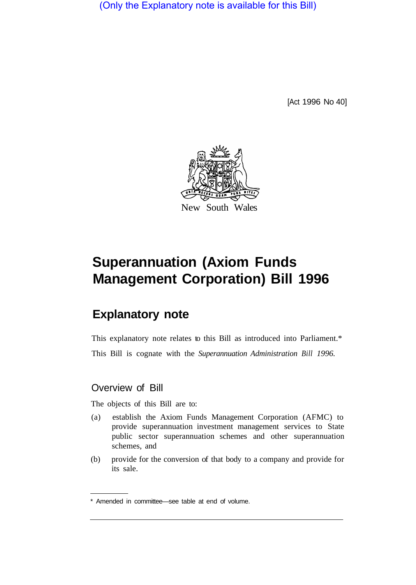(Only the Explanatory note is available for this Bill)

[Act 1996 No 40]



# **Superannuation (Axiom Funds Management Corporation) Bill 1996**

# **Explanatory note**

This explanatory note relates to this Bill as introduced into Parliament.\* This Bill is cognate with the *Superannuation Administration Bill 1996.* 

# Overview of Bill

The objects of this Bill are to:

- (a) establish the Axiom Funds Management Corporation (AFMC) to provide superannuation investment management services to State public sector superannuation schemes and other superannuation schemes, and
- (b) provide for the conversion of that body to a company and provide for its sale.

<sup>\*</sup> Amended in committee—see table at end of volume.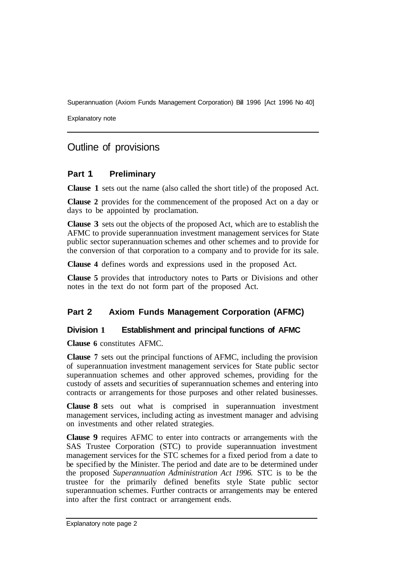Explanatory note

# Outline of provisions

# **Part 1 Preliminary**

**Clause 1** sets out the name (also called the short title) of the proposed Act.

**Clause 2** provides for the commencement of the proposed Act on a day or days to be appointed by proclamation.

**Clause 3** sets out the objects of the proposed Act, which are to establish the AFMC to provide superannuation investment management services for State public sector superannuation schemes and other schemes and to provide for the conversion of that corporation to a company and to provide for its sale.

**Clause 4** defines words and expressions used in the proposed Act.

**Clause 5** provides that introductory notes to Parts or Divisions and other notes in the text do not form part of the proposed Act.

# **Part 2 Axiom Funds Management Corporation (AFMC)**

#### **Division 1 Establishment and principal functions of AFMC**

**Clause 6** constitutes AFMC.

**Clause '7** sets out the principal functions of AFMC, including the provision of superannuation investment management services for State public sector superannuation schemes and other approved schemes, providing for the custody of assets and securities of superannuation schemes and entering into contracts or arrangements for those purposes and other related businesses.

**Clause 8** sets out what is comprised in superannuation investment management services, including acting as investment manager and advising on investments and other related strategies.

**Clause 9** requires AFMC to enter into contracts or arrangements with the SAS Trustee Corporation (STC) to provide superannuation investment management services for the STC schemes for a fixed period from a date to be specified by the Minister. The period and date are to be determined under the proposed *Superannuation Administration Act 1996.* STC is to be the trustee for the primarily defined benefits style State public sector superannuation schemes. Further contracts or arrangements may be entered into after the first contract or arrangement ends.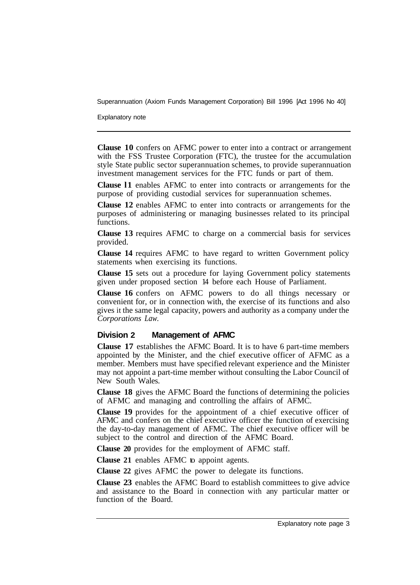Explanatory note

**Clause 10** confers on AFMC power to enter into a contract or arrangement with the FSS Trustee Corporation (FTC), the trustee for the accumulation style State public sector superannuation schemes, to provide superannuation investment management services for the FTC funds or part of them.

**Clause l1** enables AFMC to enter into contracts or arrangements for the purpose of providing custodial services for superannuation schemes.

**Clause 12** enables AFMC to enter into contracts or arrangements for the purposes of administering or managing businesses related to its principal functions.

**Clause 13** requires AFMC to charge on a commercial basis for services provided.

**Clause 14** requires AFMC to have regard to written Government policy statements when exercising its functions.

**Clause 15** sets out a procedure for laying Government policy statements given under proposed section 14 before each House of Parliament.

**Clause 16** confers on AFMC powers to do all things necessary or convenient for, or in connection with, the exercise of its functions and also gives it the same legal capacity, powers and authority as a company under the *Corporations Law.* 

#### **Division 2 Management of AFMC**

**Clause 17** establishes the AFMC Board. It is to have 6 part-time members appointed by the Minister, and the chief executive officer of AFMC as a member. Members must have specified relevant experience and the Minister may not appoint a part-time member without consulting the Labor Council of New South Wales.

**Clause 18** gives the AFMC Board the functions of determining the policies of AFMC and managing and controlling the affairs of AFMC.

**Clause 19** provides for the appointment of a chief executive officer of AFMC and confers on the chief executive officer the function of exercising the day-to-day management of AFMC. The chief executive officer will be subject to the control and direction of the AFMC Board.

**Clause 20** provides for the employment of AFMC staff.

**Clause 21** enables AFMC to appoint agents.

**Clause 22** gives AFMC the power to delegate its functions.

**Clause 23** enables the AFMC Board to establish committees to give advice and assistance to the Board in connection with any particular matter or function of the Board.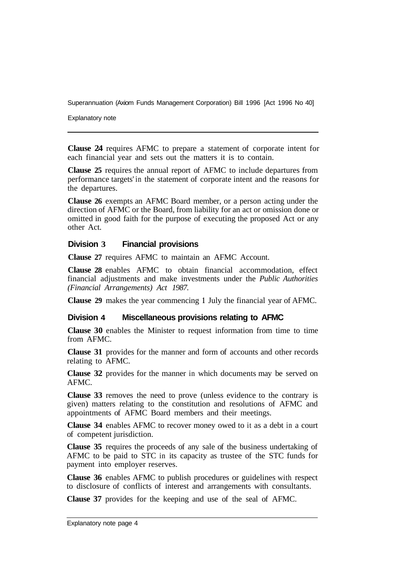Explanatory note

**Clause 24** requires AFMC to prepare a statement of corporate intent for each financial year and sets out the matters it is to contain.

**Clause 25** requires the annual report of AFMC to include departures from performance targets' in the statement of corporate intent and the reasons for the departures.

**Clause 26** exempts an AFMC Board member, or a person acting under the direction of AFMC or the Board, from liability for an act or omission done or omitted in good faith for the purpose of executing the proposed Act or any other Act.

#### **Division 3 Financial provisions**

**Clause 27** requires AFMC to maintain an AFMC Account.

**Clause 28** enables AFMC to obtain financial accommodation, effect financial adjustments and make investments under the *Public Authorities (Financial Arrangements) Act 1987.* 

**Clause 29** makes the year commencing **1** July the financial year of AFMC.

#### **Division 4 Miscellaneous provisions relating to AFMC**

**Clause 30** enables the Minister to request information from time to time from AFMC.

**Clause 31** provides for the manner and form of accounts and other records relating to AFMC.

**Clause 32** provides for the manner in which documents may be served on AFMC.

**Clause 33** removes the need to prove (unless evidence to the contrary is given) matters relating to the constitution and resolutions of AFMC and appointments of AFMC Board members and their meetings.

**Clause 34** enables AFMC to recover money owed to it as a debt in a court of competent jurisdiction.

**Clause 35** requires the proceeds of any sale of the business undertaking of AFMC to be paid to STC in its capacity as trustee of the STC funds for payment into employer reserves.

**Clause 36** enables AFMC to publish procedures or guidelines with respect to disclosure of conflicts of interest and arrangements with consultants.

**Clause 37** provides for the keeping and use of the seal of AFMC.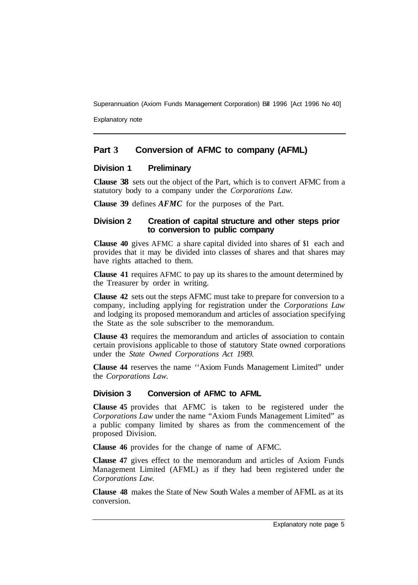Explanatory note

# **Part 3 Conversion of AFMC to company (AFML)**

# **Division 1 Preliminary**

**Clause 38** sets out the object of the Part, which is to convert AFMC from a statutory body to a company under the *Corporations Law.* 

**Clause 39** defines *AFMC* for the purposes of the Part.

#### **Division 2 Creation of capital structure and other steps prior to conversion to public company**

**Clause 40** gives AFMC a share capital divided into shares of **\$1** each and provides that it may be divided into classes of shares and that shares may have rights attached to them.

**Clause 41** requires AFMC to pay up its shares to the amount determined by the Treasurer by order in writing.

**Clause 42** sets out the steps AFMC must take to prepare for conversion to a company, including applying for registration under the *Corporations Law*  and lodging its proposed memorandum and articles of association specifying the State as the sole subscriber to the memorandum.

**Clause 43** requires the memorandum and articles of association to contain certain provisions applicable to those of statutory State owned corporations under the *State Owned Corporations Act 1989.* 

**Clause 44** reserves the name ''Axiom Funds Management Limited" under the *Corporations Law.* 

# **Division 3 Conversion of AFMC to AFML**

**Clause 45** provides that AFMC is taken to be registered under the *Corporations Law* under the name "Axiom Funds Management Limited" as a public company limited by shares as from the commencement of the proposed Division.

**Clause 46** provides for the change of name of AFMC.

**Clause 47** gives effect to the memorandum and articles of Axiom Funds Management Limited (AFML) as if they had been registered under the *Corporations Law.* 

**Clause 48** makes the State of New South Wales a member of AFML as at its conversion.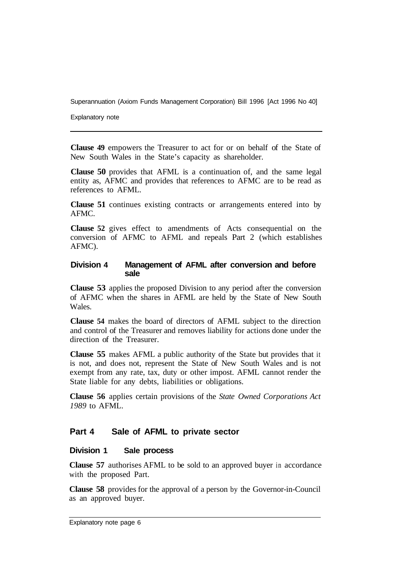Explanatory note

**Clause 49** empowers the Treasurer to act for or on behalf of the State of New South Wales in the State's capacity as shareholder.

**Clause 50** provides that AFML is a continuation of, and the same legal entity as, AFMC and provides that references to AFMC are to be read as references to AFML.

**Clause 51**  continues existing contracts or arrangements entered into by AFMC.

**Clause 52** gives effect to amendments of Acts consequential on the conversion of AFMC to AFML and repeals Part 2 (which establishes AFMC).

#### **Division 4 Management of AFML after conversion and before sale**

**Clause 53** applies the proposed Division to any period after the conversion of AFMC when the shares in AFML are held by the State of New South Wales.

**Clause 54** makes the board of directors of AFML subject to the direction and control of the Treasurer and removes liability for actions done under the direction of the Treasurer.

**Clause 55** makes AFML a public authority of the State but provides that it is not, and does not, represent the State of New South Wales and is not exempt from any rate, tax, duty or other impost. AFML cannot render the State liable for any debts, liabilities or obligations.

**Clause 56** applies certain provisions of the *State Owned Corporations Act 1989* to AFML.

# **Part 4 Sale of AFML to private sector**

#### **Division 1 Sale process**

**Clause 57** authorises AFML to be sold to an approved buyer in accordance with the proposed Part.

**Clause 58** provides for the approval of a person by the Governor-in-Council as an approved buyer.

Explanatory note page 6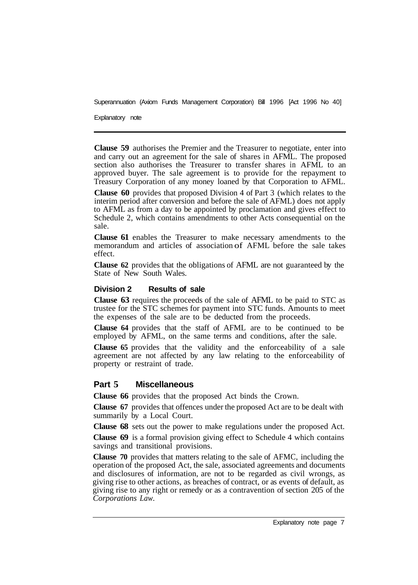Explanatory note

**Clause 59** authorises the Premier and the Treasurer to negotiate, enter into and carry out an agreement for the sale of shares in AFML. The proposed section also authorises the Treasurer to transfer shares in AFML to an approved buyer. The sale agreement is to provide for the repayment to Treasury Corporation of any money loaned by that Corporation to AFML.

**Clause 60** provides that proposed Division 4 of Part 3 (which relates to the interim period after conversion and before the sale of AFML) does not apply to AFML as from a day to be appointed by proclamation and gives effect to Schedule 2, which contains amendments to other Acts consequential on the sale.

**Clause 61** enables the Treasurer to make necessary amendments to the memorandum and articles of association of AFML before the sale takes effect.

**Clause 62** provides that the obligations of AFML are not guaranteed by the State of New South Wales.

#### **Division 2 Results of sale**

**Clause 63** requires the proceeds of the sale of AFML to be paid to STC as trustee for the STC schemes for payment into STC funds. Amounts to meet the expenses of the sale are to be deducted from the proceeds.

**Clause 64** provides that the staff of AFML are to be continued to be employed by AFML, on the same terms and conditions, after the sale.

**Clause 65** provides that the validity and the enforceability of a sale agreement are not affected by any law relating to the enforceability of property or restraint of trade.

# **Part 5 Miscellaneous**

**Clause 66** provides that the proposed Act binds the Crown.

**Clause 67** provides that offences under the proposed Act are to be dealt with summarily by a Local Court.

**Clause 68** sets out the power to make regulations under the proposed Act.

**Clause 69** is a formal provision giving effect to Schedule 4 which contains savings and transitional provisions.

**Clause 70** provides that matters relating to the sale of AFMC, including the operation of the proposed Act, the sale, associated agreements and documents and disclosures of information, are not to be regarded as civil wrongs, as giving rise to other actions, as breaches of contract, or as events of default, as giving rise to any right or remedy or as a contravention of section 205 of the *Corporations Law.*